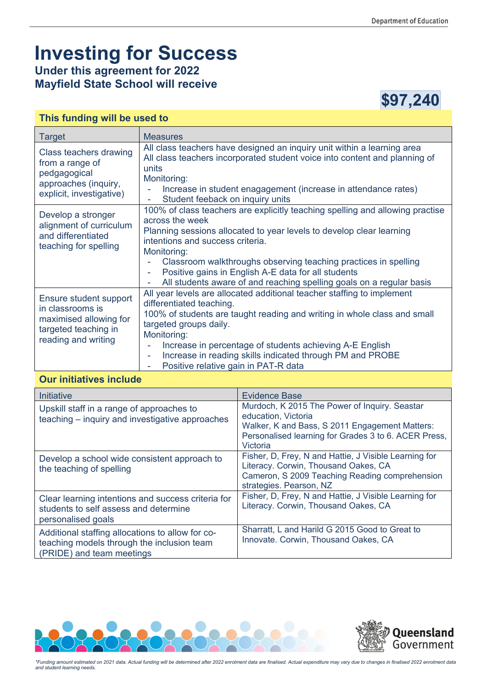## **Investing for Success**

**Under this agreement for 2022 Mayfield State School will receive** 



## **This funding will be used to**

| <b>Target</b>                                                                                                       | <b>Measures</b>                                                                                                                                                                                                                                                                                                                                                                                                                     |
|---------------------------------------------------------------------------------------------------------------------|-------------------------------------------------------------------------------------------------------------------------------------------------------------------------------------------------------------------------------------------------------------------------------------------------------------------------------------------------------------------------------------------------------------------------------------|
| Class teachers drawing<br>from a range of<br>pedgagogical<br>approaches (inquiry,<br>explicit, investigative)       | All class teachers have designed an inquiry unit within a learning area<br>All class teachers incorporated student voice into content and planning of<br>units<br>Monitoring:<br>Increase in student enagagement (increase in attendance rates)<br>Student feeback on inquiry units<br>۰                                                                                                                                            |
| Develop a stronger<br>alignment of curriculum<br>and differentiated<br>teaching for spelling                        | 100% of class teachers are explicitly teaching spelling and allowing practise<br>across the week<br>Planning sessions allocated to year levels to develop clear learning<br>intentions and success criteria.<br>Monitoring:<br>Classroom walkthroughs observing teaching practices in spelling<br>Positive gains in English A-E data for all students<br>÷.<br>All students aware of and reaching spelling goals on a regular basis |
| Ensure student support<br>in classrooms is<br>maximised allowing for<br>targeted teaching in<br>reading and writing | All year levels are allocated additional teacher staffing to implement<br>differentiated teaching.<br>100% of students are taught reading and writing in whole class and small<br>targeted groups daily.<br>Monitoring:<br>Increase in percentage of students achieving A-E English<br>Increase in reading skills indicated through PM and PROBE<br>۰<br>Positive relative gain in PAT-R data                                       |

## **Our initiatives include**

| Initiative                                                                                                                  | <b>Evidence Base</b>                                                                                                                                                                       |
|-----------------------------------------------------------------------------------------------------------------------------|--------------------------------------------------------------------------------------------------------------------------------------------------------------------------------------------|
| Upskill staff in a range of approaches to<br>teaching - inquiry and investigative approaches                                | Murdoch, K 2015 The Power of Inquiry. Seastar<br>education, Victoria<br>Walker, K and Bass, S 2011 Engagement Matters:<br>Personalised learning for Grades 3 to 6. ACER Press,<br>Victoria |
| Develop a school wide consistent approach to<br>the teaching of spelling                                                    | Fisher, D, Frey, N and Hattie, J Visible Learning for<br>Literacy. Corwin, Thousand Oakes, CA<br>Cameron, S 2009 Teaching Reading comprehension<br>strategies. Pearson, NZ                 |
| Clear learning intentions and success criteria for<br>students to self assess and determine<br>personalised goals           | Fisher, D, Frey, N and Hattie, J Visible Learning for<br>Literacy. Corwin, Thousand Oakes, CA                                                                                              |
| Additional staffing allocations to allow for co-<br>teaching models through the inclusion team<br>(PRIDE) and team meetings | Sharratt, L and Harild G 2015 Good to Great to<br>Innovate. Corwin, Thousand Oakes, CA                                                                                                     |